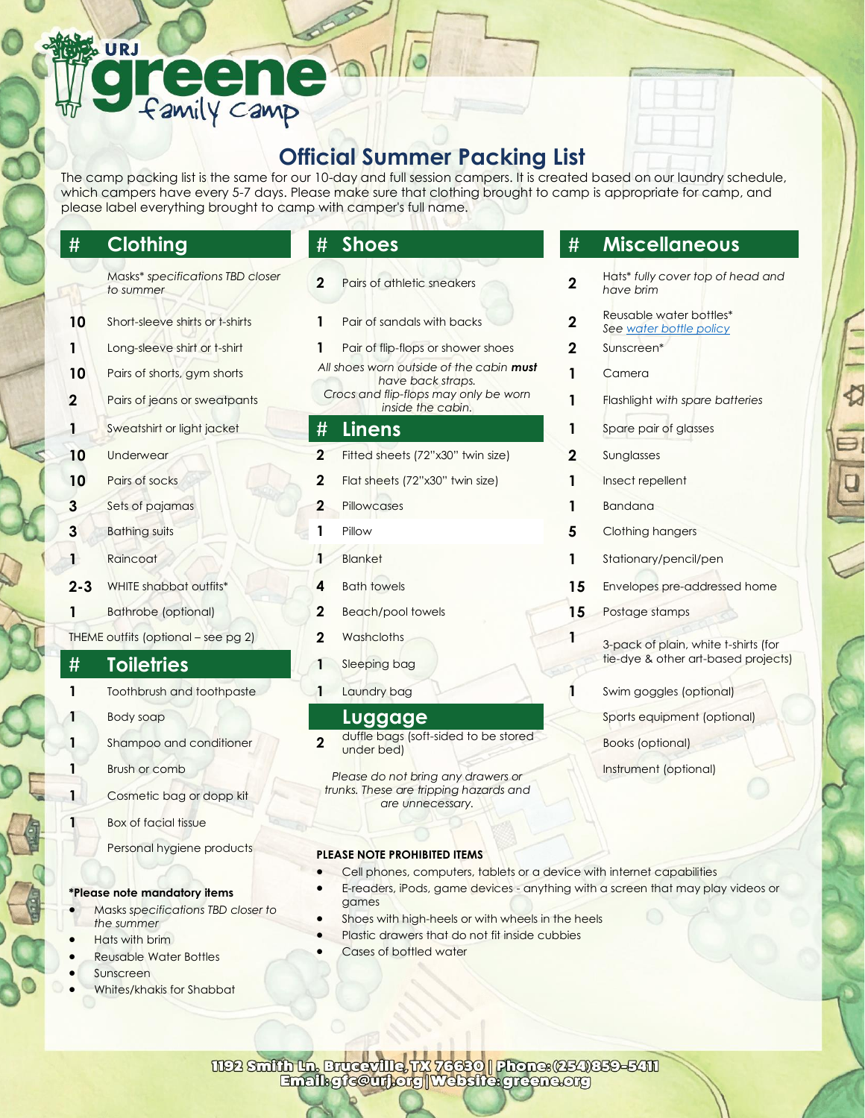# URJ Family camp

# **Official Summer Packing List**

The camp packing list is the same for our 10-day and full session campers. It is created based on our laundry schedule, which campers have every 5-7 days. Please make sure that clothing brought to camp is appropriate for camp, and please label everything brought to camp with camper's full name.

- Masks\* *specifications TBD closer to summer* **2** Pairs of athletic sneakers **2**
- **10** Short-sleeve shirts or t-shirts **1** Pair of sandals with backs **2**
- 
- 
- 
- **1** Sweatshirt or light jacket **# Linens 1** Spare pair of glasses
- 
- 
- **3** Sets of pajamas **2** Pillowcases **1** Bandana
- 
- 
- 
- **1** Bathrobe (optional) **2** Beach/pool towels **15** Postage stamps
- THEME outfits (optional see pg 2) **2** Washcloths **1** 3-pack of plain, white t-shirts (for

- **1** Toothbrush and toothpaste **1** Laundry bag **1** Swim goggles (optional)
	-
- **1** Shampoo and conditioner **2** 
	-
	- **1** Cosmetic bag or dopp kit
	- **Box of facial tissue** 
		- Personal hygiene products

## **\*Please note mandatory items**

- Masks *specifications TBD closer to the summer*
- Hats with brim
- Reusable Water Bottles
- Sunscreen
- Whites/khakis for Shabbat
- 
- 
- **1** Long-sleeve shirt or t-shirt **1** Pair of flip-flops or shower shoes **2** Sunscreen\*
- **10** Pairs of shorts, gym shorts **All shoes worn outside of the cabin must** *have back straps. Crocs and flip-flops may only be worn inside the cabin.* **2** Pairs of jeans or sweatpants **1** Flashlight *with spare batteries*

- **10** Underwear **2** Fitted sheets (72"x30" twin size) **2** Sunglasses
- **10** Pairs of socks **2** Flat sheets (72"x30" twin size) **1** Insect repellent
	-
	-
	-
	-
	-
	-
	-

duffle bags (soft-sided to be stored under bed) Books (optional)

**1** Brush or comb *Please do not bring any drawers or trunks. These are tripping hazards and are unnecessary.*

## **PLEASE NOTE PROHIBITED ITEMS**

- Cell phones, computers, tablets or a device with internet capabilities
- E-readers, iPods, game devices anything with a screen that may play videos or games
- Shoes with high-heels or with wheels in the heels
- Plastic drawers that do not fit inside cubbies
- Cases of bottled water

# # **Clothing** # **Shoes** # **Miscellaneous**

- Hats\* *fully cover top of head and have brim*
- Reusable water bottles\*
- *Se[e water bottle policy](https://greene.org/wp-content/uploads/sites/14/2021/03/Waterbottle-Policy-.pdf)*
- 
- **1** Camera
	-
	-
- 
- 
- 
- **3** Bathing suits **1** Pillow **5** Clothing hangers
- **1** Raincoat **1** Blanket **1** Stationary/pencil/pen
- **2-3** WHITE shabbat outfits\* **4** Bath towels **15** Envelopes pre-addressed home
	-

tie-dye & other art-based projects) # **Toiletries <sup>1</sup>** Sleeping bag

**1** Body soap **Luggage** Sports equipment (optional)

- 
- Instrument (optional)

1192 Smith In. Bruceville, 173 76650 | Phone: (254)859-5411<br>Email: gic@urj.org | Website: greene.org